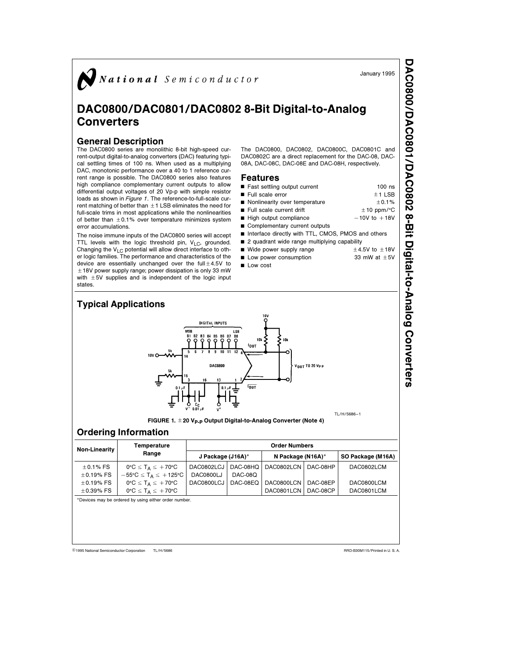

## DAC0800/DAC0801/DAC0802 8-Bit Digital-to-Analog **Converters**

## General Description

The DAC0800 series are monolithic 8-bit high-speed current-output digital-to-analog converters (DAC) featuring typical settling times of 100 ns. When used as a multiplying DAC, monotonic performance over a 40 to 1 reference current range is possible. The DAC0800 series also features high compliance complementary current outputs to allow differential output voltages of 20 Vp-p with simple resistor loads as shown in Figure 1. The reference-to-full-scale current matching of better than  $\pm$  1 LSB eliminates the need for full-scale trims in most applications while the nonlinearities of better than  $\pm$  0.1% over temperature minimizes system error accumulations.

The noise immune inputs of the DAC0800 series will accept TTL levels with the logic threshold pin,  $V_{LC}$ , grounded. Changing the  $V_{LC}$  potential will allow direct interface to other logic families. The performance and characteristics of the device are essentially unchanged over the full $\pm$ 4.5V to  $\pm$  18V power supply range; power dissipation is only 33 mW with  $\pm$  5V supplies and is independent of the logic input states.

The DAC0800, DAC0802, DAC0800C, DAC0801C and DAC0802C are a direct replacement for the DAC-08, DAC-08A, DAC-08C, DAC-08E and DAC-08H, respectively.

## Features

| ■ Fast settling output current                     | $100$ ns                  |
|----------------------------------------------------|---------------------------|
| Full scale error                                   | $±1$ LSB                  |
| Nonlinearity over temperature                      | ± 0.1%                    |
| Full scale current drift                           | $\pm$ 10 ppm/ $\degree$ C |
| High output compliance                             | $-10V$ to $+18V$          |
| Complementary current outputs                      |                           |
| Interface directly with TTL, CMOS, PMOS and others |                           |
| 2 quadrant wide range multiplying capability       |                           |
| ■ Wide power supply range                          | $\pm$ 4.5V to $\pm$ 18V   |
| Low power consumption                              | 33 mW at $\pm$ 5V         |
| ■ Low cost                                         |                           |



FIGURE 1.  $\pm$  20 V<sub>P-P</sub> Output Digital-to-Analog Converter (Note 4)

## Ordering Information

| Non-Linearity  | Temperature                                         | <b>Order Numbers</b> |          |                   |          |                   |  |  |  |
|----------------|-----------------------------------------------------|----------------------|----------|-------------------|----------|-------------------|--|--|--|
|                | Range                                               | J Package (J16A)*    |          | N Package (N16A)* |          | SO Package (M16A) |  |  |  |
| $\pm$ 0.1% FS  | $0^{\circ}C \leq T_A \leq +70^{\circ}C$             | DAC0802LCJ           | DAC-08HQ | DAC0802LCN        | DAC-08HP | DAC0802LCM        |  |  |  |
| $\pm$ 0.19% FS | $-55^{\circ}$ C $\leq$ T <sub>A</sub> $\leq$ +125°C | DAC0800LJ            | DAC-08Q  |                   |          |                   |  |  |  |
| $\pm$ 0.19% FS | $0^{\circ}C \leq T_A \leq +70^{\circ}C$             | DAC0800LCJ           | DAC-08EQ | DAC0800LCN        | DAC-08EP | DAC0800LCM        |  |  |  |
| $+0.39\%$ FS   | $0^{\circ}C \leq T_A \leq +70^{\circ}C$             |                      |          | DAC0801LCN        | DAC-08CP | DAC0801LCM        |  |  |  |

\*Devices may be ordered by using either order number.

C1995 National Semiconductor Corporation TL/H/5686 **Careform Corporation Corporation RRD-B30M115/Printed in U. S. A.** 

January 1995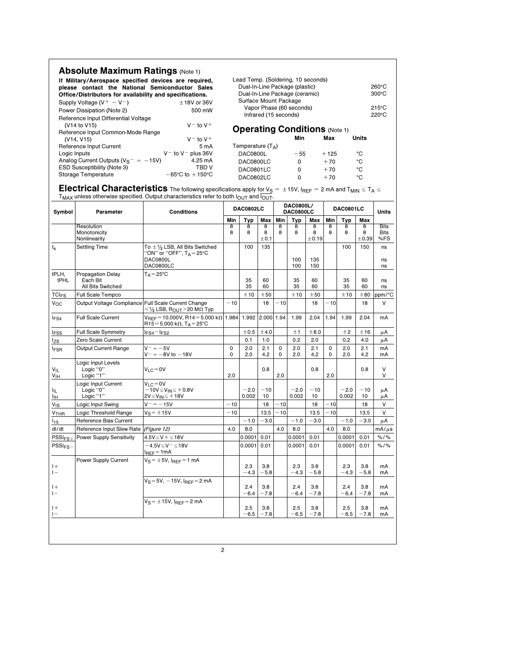|                                                                                                                                                                      | <b>Absolute Maximum Ratings (Note 1)</b>             |                                                                                                                                           |                                                   |                                      |                                |        |                      |                                |        |                                    |               |                    |
|----------------------------------------------------------------------------------------------------------------------------------------------------------------------|------------------------------------------------------|-------------------------------------------------------------------------------------------------------------------------------------------|---------------------------------------------------|--------------------------------------|--------------------------------|--------|----------------------|--------------------------------|--------|------------------------------------|---------------|--------------------|
| If Military/Aerospace specified devices are required,<br>please contact the National Semiconductor Sales<br>Office/Distributors for availability and specifications. |                                                      | Lead Temp. (Soldering, 10 seconds)<br>Dual-In-Line Package (plastic)<br>Dual-In-Line Package (ceramic)                                    |                                                   |                                      |                                |        |                      |                                |        | $260^{\circ}$ C<br>$300^{\circ}$ C |               |                    |
| Supply Voltage $(V^+ - V^-)$<br>$± 18V$ or 36V                                                                                                                       |                                                      |                                                                                                                                           | Surface Mount Package<br>Vapor Phase (60 seconds) |                                      |                                |        |                      |                                |        |                                    |               | $215^{\circ}$ C    |
|                                                                                                                                                                      | Power Dissipation (Note 2)                           | 500 mW                                                                                                                                    |                                                   |                                      | Infrared (15 seconds)          |        |                      |                                |        |                                    |               | 220°C              |
|                                                                                                                                                                      | Reference Input Differential Voltage<br>(V14 to V15) | $V^-$ to $V^+$                                                                                                                            |                                                   |                                      |                                |        |                      |                                |        |                                    |               |                    |
|                                                                                                                                                                      | Reference Input Common-Mode Range                    |                                                                                                                                           |                                                   | <b>Operating Conditions (Note 1)</b> |                                |        |                      |                                |        |                                    |               |                    |
|                                                                                                                                                                      | (V14, V15)                                           | $V^-$ to $V^+$                                                                                                                            |                                                   |                                      |                                |        | Min                  |                                | Max    |                                    | Units         |                    |
|                                                                                                                                                                      | Reference Input Current                              | 5 m A                                                                                                                                     |                                                   | Temperature $(T_A)$                  |                                |        |                      |                                |        |                                    |               |                    |
| $V^-$ to $V^-$ plus 36V<br>Logic Inputs                                                                                                                              |                                                      |                                                                                                                                           | <b>DAC0800L</b>                                   |                                      |                                | $-55$  |                      |                                | $+125$ |                                    | °C            |                    |
| Analog Current Outputs ( $V_S^- = -15V$ )<br><b>ESD Susceptibility (Note 3)</b>                                                                                      |                                                      | 4.25 mA<br><b>TBD V</b>                                                                                                                   | DAC0800LC                                         |                                      | 0                              |        |                      | $+70$                          |        | °C                                 |               |                    |
|                                                                                                                                                                      | Storage Temperature                                  | $-65^{\circ}$ C to $+150^{\circ}$ C                                                                                                       | DAC0801LC<br>DAC0802LC                            |                                      |                                | 0<br>0 | °C<br>$+70$<br>$+70$ |                                |        | °C                                 |               |                    |
|                                                                                                                                                                      |                                                      | <b>Electrical Characteristics</b> The following specifications apply for $V_S = \pm 15V$ , $I_{REF} = 2$ mA and $T_{MIN} \le T_A \le T_A$ |                                                   |                                      |                                |        |                      |                                |        |                                    |               |                    |
|                                                                                                                                                                      |                                                      | $T_{MAX}$ unless otherwise specified. Output characteristics refer to both $I_{OUT}$ and $\overline{I_{OUT}}$ .                           |                                                   |                                      |                                |        | DAC0800L/            |                                |        |                                    |               |                    |
| Symbol                                                                                                                                                               | Parameter                                            | <b>Conditions</b>                                                                                                                         | <b>DAC0802LC</b><br>Min<br>Typ<br>Max             |                                      | DAC0800LC<br>Min<br><b>Typ</b> |        | Max                  | <b>DAC0801LC</b><br>Min<br>Typ |        | Max                                | <b>Units</b>  |                    |
|                                                                                                                                                                      | Resolution                                           |                                                                                                                                           | 8                                                 | 8                                    | 8                              | 8      | 8                    | 8                              | 8      | 8                                  | 8             | <b>Bits</b>        |
|                                                                                                                                                                      | Monotonicity<br>Nonlinearity                         |                                                                                                                                           | 8                                                 | 8                                    | 8<br>±0.1                      | 8      | 8                    | 8<br>±0.19                     | 8      | 8                                  | 8<br>±0.39    | <b>Bits</b><br>%FS |
| $t_{\rm s}$                                                                                                                                                          | <b>Settling Time</b>                                 | To $\pm$ 1/2 LSB, All Bits Switched<br>"ON" or "OFF", T <sub>A</sub> =25°C                                                                |                                                   | 100                                  | 135                            |        |                      |                                |        | 100                                | 150           | ns                 |
|                                                                                                                                                                      |                                                      | DAC0800L<br>DAC0800LC                                                                                                                     |                                                   |                                      |                                |        | 100<br>100           | 135<br>150                     |        |                                    |               | ns<br>ns           |
| tPLH,<br>tPHL                                                                                                                                                        | <b>Propagation Delay</b><br>Each Bit                 | $T_A = 25$ °C                                                                                                                             |                                                   | 35                                   | 60                             |        | 35                   | 60                             |        | 35                                 | 60            | ns                 |
|                                                                                                                                                                      | All Bits Switched<br>Full Scale Tempco               |                                                                                                                                           |                                                   | 35<br>±10                            | 60<br>±50                      |        | 35<br>±10            | 60<br>± 50                     |        | 35<br>±10                          | 60<br>±80     | ns<br>ppm/°C       |
| TCI <sub>FS</sub><br>Voc                                                                                                                                             | Output Voltage Compliance Full Scale Current Change  |                                                                                                                                           | $-10$                                             |                                      | 18                             | $-10$  |                      | 18                             | $-10$  |                                    | 18            | $\vee$             |
| <sup>I</sup> FS4                                                                                                                                                     | <b>Full Scale Current</b>                            | $<$ 1/2 LSB, R <sub>OUT</sub> > 20 M $\Omega$ Typ<br>$V_{\text{REF}}$ = 10.000V, R14 = 5.000 k $\Omega$ 1.984                             |                                                   | 1.992                                | 2.000 1.94                     |        | 1.99                 | 2.04                           | 1.94   | 1.99                               | 2.04          | mA                 |
|                                                                                                                                                                      |                                                      | R15=5.000 kΩ, T <sub>A</sub> =25°C                                                                                                        |                                                   |                                      |                                |        |                      |                                |        |                                    |               |                    |
| <b>IFSS</b>                                                                                                                                                          | Full Scale Symmetry                                  | l <sub>FS4</sub> -l <sub>FS2</sub>                                                                                                        |                                                   | ± 0.5                                | ±4.0                           |        | ±1                   | ±8.0                           |        | ±2                                 | ±16           | μA                 |
| l <sub>ZS</sub>                                                                                                                                                      | Zero Scale Current                                   |                                                                                                                                           |                                                   | 0.1                                  | 1.0                            |        | 0.2                  | 2.0                            |        | 0.2                                | 4.0           | μA                 |
| <b>IFSR</b>                                                                                                                                                          | Output Current Range                                 | $V^- = -5V$<br>$V^ =$ $-$ 8V to $-$ 18V                                                                                                   | 0<br>0                                            | 2.0<br>2.0                           | 2.1<br>4.2                     | 0<br>0 | 2.0<br>2.0           | 2.1<br>4.2                     | 0<br>0 | 2.0<br>2.0                         | 2.1<br>4.2    | mA<br>mA           |
| $V_{IL}$<br>$V_{\text{I}H}$                                                                                                                                          | Logic Input Levels<br>Logic "0"<br>Logic "1"         | $V_{LC} = 0V$                                                                                                                             | 2.0                                               |                                      | 0.8                            | 2.0    |                      | 0.8                            | 2.0    |                                    | 0.8           | V<br>V             |
|                                                                                                                                                                      | Logic Input Current                                  | $V_{LC} = 0V$                                                                                                                             |                                                   |                                      |                                |        |                      | $-10$                          |        |                                    | $-10$         |                    |
| Ιıμ<br>血                                                                                                                                                             | Logic "0"<br>Logic "1"                               | –10V≤V <sub>IN</sub> ≤+0.8V<br>$2V \leq V_{IN} \leq +18V$                                                                                 |                                                   | $-2.0$<br>0.002                      | $-10$<br>10                    |        | $-2.0$<br>0.002      | 10                             |        | $-2.0$<br>0.002                    | 10            | μA<br>μA           |
| $V_{\text{IS}}$                                                                                                                                                      | Logic Input Swing                                    | $V^- = -15V$                                                                                                                              | $-10$                                             |                                      | 18                             | - 10   |                      | 18                             | - 10   |                                    | 18            | V                  |
| V <sub>THR</sub>                                                                                                                                                     | Logic Threshold Range                                | $V_S = \pm 15V$                                                                                                                           | $-10$                                             |                                      | 13.5                           | $-10$  |                      | 13.5                           | $-10$  |                                    | 13.5          | V                  |
| $I_{15}$                                                                                                                                                             | Reference Bias Current                               |                                                                                                                                           |                                                   | $-1.0$                               | $-3.0$                         |        | $-1.0$               | $-3.0$                         |        | $-1.0$                             | $-3.0$        | μA                 |
| dl/dt                                                                                                                                                                | Reference Input Slew Rate (Figure 12)                |                                                                                                                                           | 4.0                                               | 8.0                                  |                                | 4.0    | 8.0                  |                                | 4.0    | 8.0                                |               | $mA/\mu s$         |
| $\text{PSSI}_{\text{FS}+}$                                                                                                                                           | Power Supply Sensitivity                             | $4.5V \leq V + \leq 18V$                                                                                                                  |                                                   | $0.0001$ 0.01                        |                                |        | $ 0.0001 $ 0.01      |                                |        | $0.0001$ 0.01                      |               | $% / \%$           |
| $PSSI_{FS}$                                                                                                                                                          |                                                      | $-4.5V \leq V^- \leq 18V$<br>$I_{REF}$ =1mA                                                                                               |                                                   | $0.0001$ 0.01                        |                                |        | 0.0001               | 0.01                           |        | 0.0001                             | 0.01          | $% /$ %            |
| $ +$<br>$\vert -$                                                                                                                                                    | Power Supply Current                                 | $V_S = \pm 5V$ , $I_{REF} = 1$ mA                                                                                                         |                                                   | 2.3<br>$-4.3$                        | 3.8<br>$-5.8$                  |        | 2.3<br>$-4.3$        | 3.8<br>$-5.8$                  |        | 2.3<br>$-4.3$                      | 3.8<br>$-5.8$ | mA<br>mA           |
| $ +$<br>$\vert -$                                                                                                                                                    |                                                      | $V_S = 5V$ , $-15V$ , $I_{BEF} = 2$ mA                                                                                                    |                                                   | 2.4<br>$-6.4$                        | 3.8<br>$-7.8$                  |        | 2.4<br>$-6.4$        | 3.8<br>$-7.8$                  |        | 2.4<br>$-6.4$                      | 3.8<br>$-7.8$ | mA<br>mA           |
| $ +$<br>$\mathbf{I}$                                                                                                                                                 |                                                      | $\overline{V_S}$ = $\pm$ 15V, $I_{REF}$ = 2 mA                                                                                            |                                                   | 2.5<br>-6.5                          | 3.8<br>$-7.8$                  |        | 2.5<br>-6.5          | 3.8<br>$-7.8$                  |        | 2.5<br>$-6.5$                      | 3.8<br>$-7.8$ | mA<br>mA           |
|                                                                                                                                                                      |                                                      |                                                                                                                                           |                                                   |                                      |                                |        |                      |                                |        |                                    |               |                    |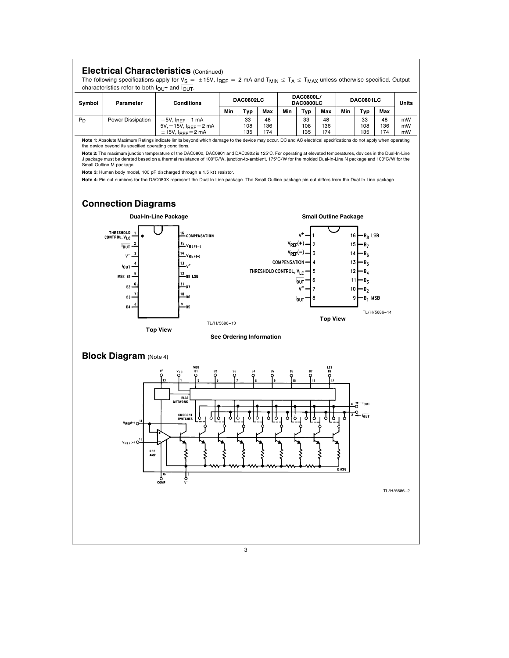

3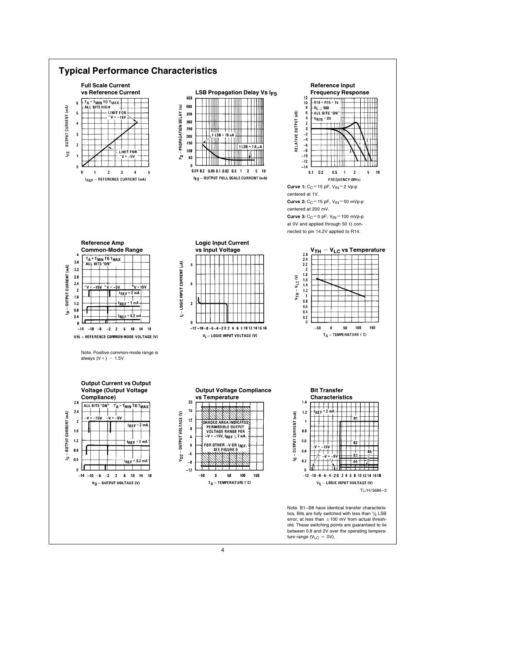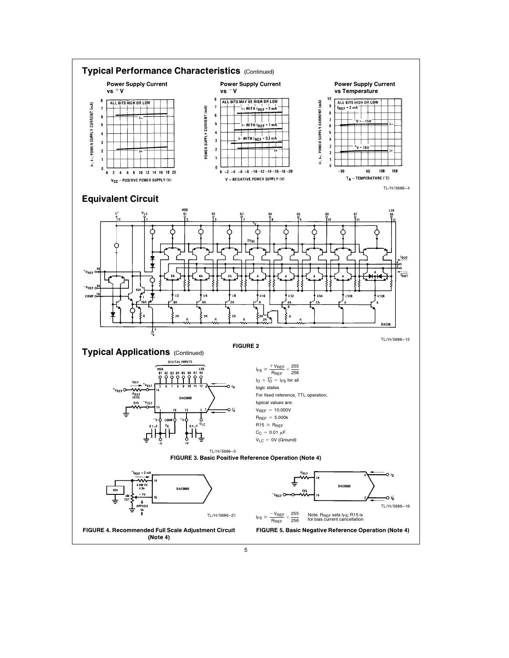

5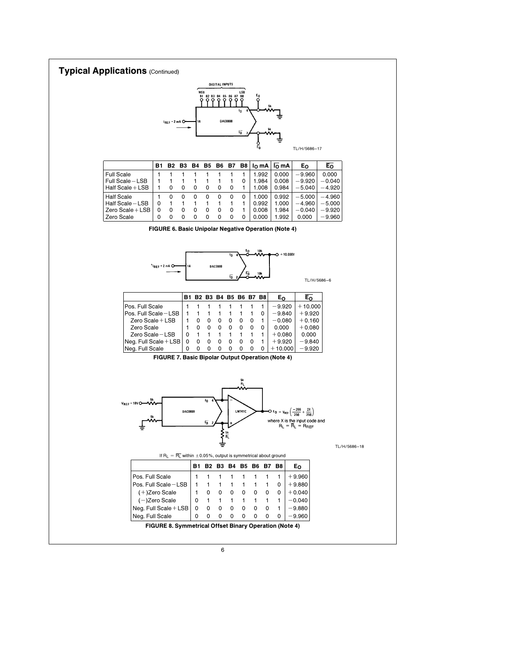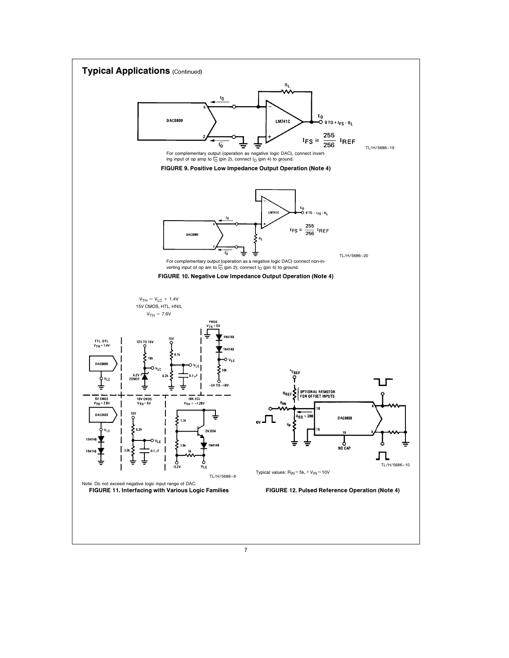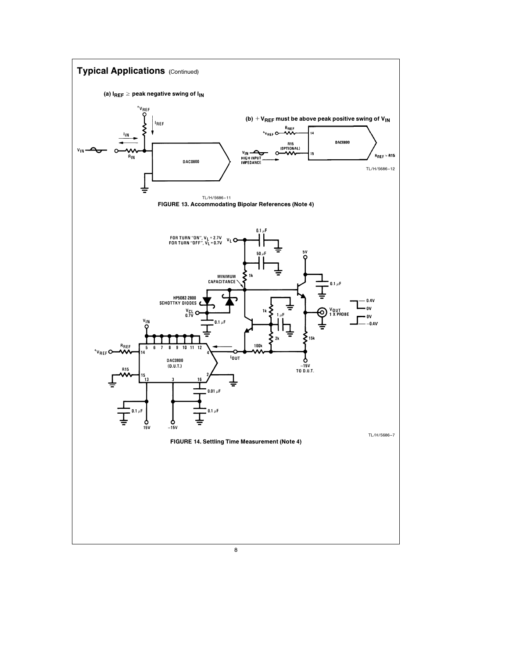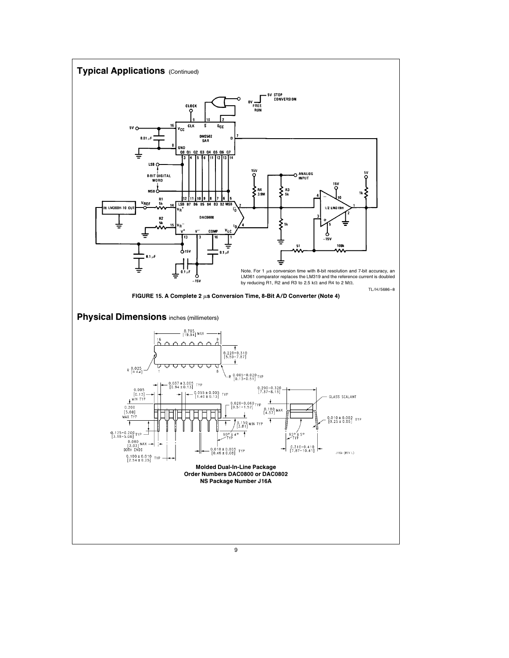